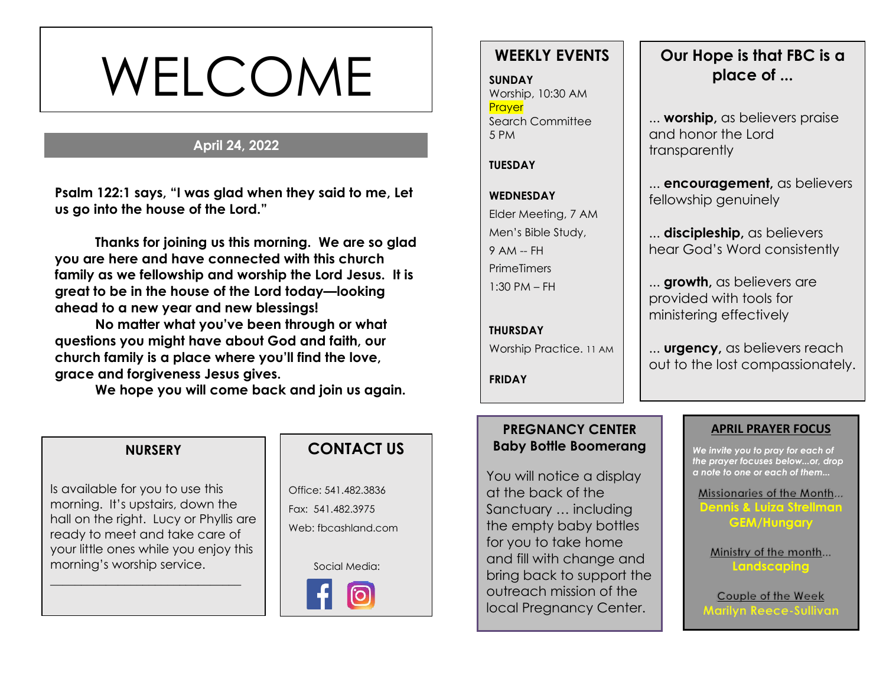# WELCOME

#### **April 24, 2022**

**s Psalm 122:1 says, "I was glad when they said to me, Let us go into the house of the Lord."**

**Thanks for joining us this morning. We are so glad you are here and have connected with this church family as we fellowship and worship the Lord Jesus. It is great to be in the house of the Lord today—looking ahead to a new year and new blessings!** 

**No matter what you've been through or what questions you might have about God and faith, our church family is a place where you'll find the love, grace and forgiveness Jesus gives.**

**We hope you will come back and join us again.**

#### **NURSERY**

Is available for you to use this morning. It's upstairs, down the hall on the right. Lucy or Phyllis are ready to meet and take care of your little ones while you enjoy this morning's worship service.

\_\_\_\_\_\_\_\_\_\_\_\_\_\_\_\_\_\_\_\_\_\_\_\_\_\_\_\_\_\_\_

## **CONTACT US**

Office: 541.482.3836 Fax: 541.482.3975 Web: fbcashland.com

Social Media:



# **WEEKLY EVENTS**

**SUNDAY** Worship, 10:30 AM **Prayer** Search Committee 5 PM

#### **TUESDAY**

# **WEDNESDAY** Elder Meeting, 7 AM Men's Bible Study, 9 AM -- FH **PrimeTimers** 1:30 PM – FH

**THURSDAY** Worship Practice. 11 AM

**FRIDAY**

# **Our Hope is that FBC is a place of ...**

... **worship,** as believers praise and honor the Lord transparently

... **encouragement,** as believers fellowship genuinely

... **discipleship,** as believers hear God's Word consistently

... **growth,** as believers are provided with tools for ministering effectively

... **urgency,** as believers reach out to the lost compassionately.

#### **PREGNANCY CENTER Baby Bottle Boomerang**

You will notice a display at the back of the Sanctuary … including the empty baby bottles for you to take home and fill with change and bring back to support the outreach mission of the local Pregnancy Center.

#### **APRIL PRAYER FOCUS**

*We invite you to pray for each of the prayer focuses below...or, drop a note to one or each of them...*

Missionaries of the Month... **Dennis & Luiza Strellman GEM/Hungary**

Ministry of the month... **Landscaping**

Couple of the Week **Marilyn Reece-Sullivan**